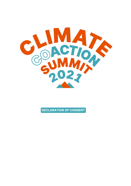

**DECLARATION OF CONSENT**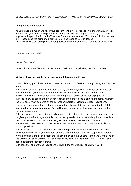## *DECLARATION OF CONSENT FOR PARTICIPATION IN THE CLIMATECOACTION SUMMIT 2021*

## Dear parents and guardians

As your child is a minor, we need your consent for his/her participation in the ClimateCoAction Summit 2021, which will take place on 20 november 2021 in Stuttgart, Germany. The same applies to the participation in the Welcome Event on 19 november 2021, if your child takes part in it. Please send the completed, signed form in advance to Carolin Jaschek (carolin@wewws.de) and give your daughter/son the original to hand it over to us at the event.

I hereby register my child

(name, first name)

to participate in the ClimateCoAction Summit 2021 and, if applicable, the Welcome Event.

## **With my signature on this form, I accept the following conditions:**

1. My child may participate in the ClimateCoAction Summit 2021 and, if applicable, the Welcome Event.

2. In case of an overnight stay, I point out to my child that s/he must be back at the place of accommodation (Youth Hostel International in Stuttgart-Mitte) by 24:00 (JuSchG § 5).

3. Willful damage will be claimed back from the private liability of the damaging party.

4. In the following cases, the organiser reserves the right to send a participant home, whereby the total costs must be borne by the parents or guardians: Violation of legal regulations, possession or consumption of drugs, consumption of alcohol during the event (JuSchG § 9), consumption of tobacco (JuSchG §1o), deliberate withdrawal of the supervisory duty of the responsible persons.

5. In the event of the necessity of medical intervention of any kind, the event management shall be given permission to agree to this intervention, provided that an attending doctor considers this to be necessary and the parents or guardians could not be reached. The event management undertakes to pass on all necessary information to the parents or guardians as soon as possible.

6. I am aware that the organiser cannot guarantee permanent supervision during the event. However, there will always be contact persons and/or contact details of responsible persons. 7. With my signature, I also accept the Privacy Policy and the General Terms and Conditions of the ClimateCoAction Summit 2021 on behalf of my child, available at www.wir-ernten-was-wirsaeen.de/climatecoaction-summit.

8. In case that one of these regulations is invalid, the other regulations remain valid.